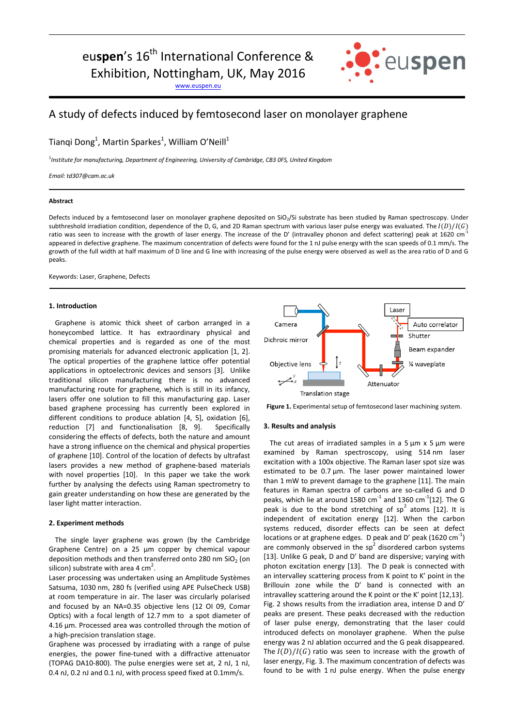# eu**spen**'s 16<sup>th</sup> International Conference & Exhibition, Nottingham, UK, May 2016

[www.euspen.eu](http://www.euspen.eu/)



# A study of defects induced by femtosecond laser on monolayer graphene

Tianqi Dong<sup>1</sup>, Martin Sparkes<sup>1</sup>, William O'Neill<sup>1</sup>

<sup>1</sup>Institute for manufacturing, Department of Engineering, University of Cambridge, CB3 0FS, United Kingdom

*Email: td307@cam.ac.uk*

#### **Abstract**

Defects induced by a femtosecond laser on monolayer graphene deposited on SiO<sub>2</sub>/Si substrate has been studied by Raman spectroscopy. Under subthreshold irradiation condition, dependence of the D, G, and 2D Raman spectrum with various laser pulse energy was evaluated. The  $I(D)/I(G)$ ratio was seen to increase with the growth of laser energy. The increase of the D' (intravalley phonon and defect scattering) peak at 1620 cm<sup>-1</sup> appeared in defective graphene. The maximum concentration of defects were found for the 1 nJ pulse energy with the scan speeds of 0.1 mm/s. The growth of the full width at half maximum of D line and G line with increasing of the pulse energy were observed as well as the area ratio of D and G peaks.

Keywords: Laser, Graphene, Defects

# **1. Introduction**

Graphene is atomic thick sheet of carbon arranged in a honeycombed lattice. It has extraordinary physical and chemical properties and is regarded as one of the most promising materials for advanced electronic application [1, 2]. The optical properties of the graphene lattice offer potential applications in optoelectronic devices and sensors [3]. Unlike traditional silicon manufacturing there is no advanced manufacturing route for graphene, which is still in its infancy, lasers offer one solution to fill this manufacturing gap. Laser based graphene processing has currently been explored in different conditions to produce ablation [4, 5], oxidation [6], reduction [7] and functionalisation [8, 9]. Specifically considering the effects of defects, both the nature and amount have a strong influence on the chemical and physical properties of graphene [10]. Control of the location of defects by ultrafast lasers provides a new method of graphene-based materials with novel properties [10]. In this paper we take the work further by analysing the defects using Raman spectrometry to gain greater understanding on how these are generated by the laser light matter interaction.

## **2. Experiment methods**

The single layer graphene was grown (by the Cambridge Graphene Centre) on a 25 µm copper by chemical vapour deposition methods and then transferred onto 280 nm  $SiO<sub>2</sub>$  (on silicon) substrate with area 4  $\text{cm}^2$ .

Laser processing was undertaken using an Amplitude Systèmes Satsuma, 1030 nm, 280 fs (verified using APE PulseCheck USB) at room temperature in air. The laser was circularly polarised and focused by an NA=0.35 objective lens (12 OI 09, Comar Optics) with a focal length of 12.7 mm to a spot diameter of 4.16 μm. Processed area was controlled through the motion of a high-precision translation stage.

Graphene was processed by irradiating with a range of pulse energies, the power fine-tuned with a diffractive attenuator (TOPAG DA10-800). The pulse energies were set at, 2 nJ, 1 nJ, 0.4 nJ, 0.2 nJ and 0.1 nJ, with process speed fixed at 0.1mm/s.



**Figure 1.** Experimental setup of femtosecond laser machining system.

#### **3. Results and analysis**

The cut areas of irradiated samples in a  $5 \mu m \times 5 \mu m$  were examined by Raman spectroscopy, using 514 nm laser excitation with a 100x objective. The Raman laser spot size was estimated to be 0.7 μm. The laser power maintained lower than 1 mW to prevent damage to the graphene [11]. The main features in Raman spectra of carbons are so-called G and D peaks, which lie at around 1580  $\text{cm}^{-1}$  and 1360  $\text{cm}^{-1}$ [12]. The G peak is due to the bond stretching of  $sp^2$  atoms [12]. It is independent of excitation energy [12]. When the carbon systems reduced, disorder effects can be seen at defect locations or at graphene edges. D peak and D' peak (1620 cm<sup>-1</sup>) are commonly observed in the  $sp<sup>2</sup>$  disordered carbon systems [13]. Unlike G peak, D and D' band are dispersive; varying with photon excitation energy [13]. The D peak is connected with an intervalley scattering process from K point to K' point in the Brillouin zone while the D' band is connected with an intravalley scattering around the K point or the K' point [12,13]. Fig. 2 shows results from the irradiation area, intense D and D' peaks are present. These peaks decreased with the reduction of laser pulse energy, demonstrating that the laser could introduced defects on monolayer graphene. When the pulse energy was 2 nJ ablation occurred and the G peak disappeared. The  $I(D)/I(G)$  ratio was seen to increase with the growth of laser energy, Fig. 3. The maximum concentration of defects was found to be with 1 nJ pulse energy. When the pulse energy